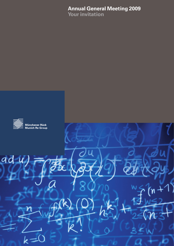# **Annual General Meeting 2009**

**Your invitation**

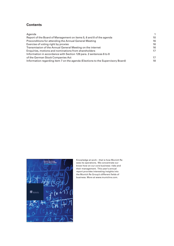# **Contents**



Knowledge at work – that is how Munich Re sees its operations. We concentrate our know-how on our core business: risks and their management. This year's annual report provides interesting insights into the Munich Re Group's different fields of business. More at www.munichre.com.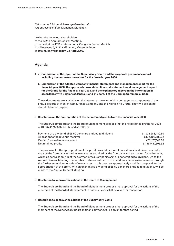Münchener Rückversicherungs-Gesellschaft Aktiengesellschaft in München, München

We hereby invite our shareholders to the 122nd Annual General Meeting, to be held at the ICM – International Congress Center Munich, Am Messesee 6, 81829 München, Messegelände, at **10 a.m. on Wednesday, 22 April 2009**.

# **Agenda**

- **1 a) Submission of the report of the Supervisory Board and the corporate governance report**  including the remuneration report for the financial year 2008
	- **b) Submission of the adopted Company financial statements and management report for the** financial year 2008, the approved consolidated financial statements and management report for the Group for the financial year 2008, and the explanatory report on the information in **accordance with Sections 289 para. 4 and 315 para. 4 of the German Commercial Code**

These documents are available on the internet at www.munichre.com/agm as components of the annual reports of Munich Reinsurance Company and the Munich Re Group. They will be sent to shareholders on request.

# **2** Resolution on the appropriation of the net retained profits from the financial year 2008

The Supervisory Board and the Board of Management propose that the net retained profits for 2008 of €1,567,417,505.92 be utilised as follows:

| Payment of a dividend of €5.50 per share entitled to dividend | €1.072.983.180.50 |
|---------------------------------------------------------------|-------------------|
| Allocation to the revenue reserves                            | €432,196,583,92   |
| Carried forward to new account                                | €62,237,741.50    |
| Net retained profits                                          | €1.567.417.505.92 |

The proposal for the appropriation of the profit takes into account own shares held directly or indirectly by the Company as well as own shares acquired by the Company and earmarked for retirement, which as per Section 71b of the German Stock Companies Act are not entitled to dividend. Up to the Annual General Meeting, the number of shares entitled to dividend may decrease or increase through the further acquisition or sale of own shares. In this case, an appropriately modified proposal for the appropriation of the profit, with an unchanged dividend of €5.50 per share entitled to dividend, will be made to the Annual General Meeting.

# **3 Resolution to approve the actions of the Board of Management**

The Supervisory Board and the Board of Management propose that approval for the actions of the members of the Board of Management in financial year 2008 be given for that period.

# **4 Resolution to approve the actions of the Supervisory Board**

The Supervisory Board and the Board of Management propose that approval for the actions of the members of the Supervisory Board in financial year 2008 be given for that period.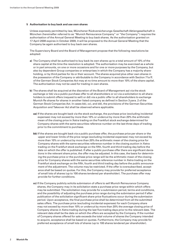### **5 Authorisation to buy back and use own shares**

Unless expressly permitted by law, Münchener Rückversicherungs-Gesellschaft Aktiengesellschaft in München (hereinafter referred to as "Munich Reinsurance Company" or "the Company") requires the authorisation of the Annual General Meeting to buy back shares. As the authorisation granted on 17 April 2008 expires in October 2009, it will be proposed to the Annual General Meeting that the Company be again authorised to buy back own shares.

The Supervisory Board and the Board of Management propose that the following resolutions be adopted:

- **a)** The Company shall be authorised to buy back its own shares up to a total amount of 10% of the share capital at the time the resolution is adopted. The authorisation may be exercised as a whole or in part amounts, on one or more occasions and for one or more purposes by the Company, but also by dependent Group companies or enterprises in which the Company has a majority shareholding, or by third parties for its or their account. The shares acquired plus other own shares in the possession of the Company or attributable to the Company in accordance with Section 71a ff. of the German Stock Companies Act may at no time amount to more than 10% of the share capital. The authorisation may not be used for trading in own shares.
- **b)** The shares shall be acquired at the discretion of the Board of Management aa) via the stock exchange or bb) via a public purchase offer to all shareholders or cc) via a solicitation to all shareholders to submit offers (request to sell) or dd) via a public offer to all shareholders to exchange Munich Re shares for shares in another listed company as defined in Section 3 para. 2 of the German Stock Companies Act. In cases bb), cc), and dd), the provisions of the German Securities Acquisition and Takeover Act shall be observed where applicable.
	- **aa)** If the shares are bought back via the stock exchange, the purchase price (excluding incidental expenses) may not exceed by more than 10% or undercut by more than 20% the arithmetic mean of the closing price in Xetra trading on the Frankfurt stock exchange determined for Company shares with the same securities reference number on the last three days of trading prior to the commitment to purchase.
	- **bb)** If the shares are bought back via a public purchase offer, the purchase price per share or the upper and lower limits of the price range (excluding incidental expenses) may not exceed by more than 10% or undercut by more than 20% the arithmetic mean of the closing price for Company shares with the same securities reference number in the closing auction in Xetra trading on the Frankfurt stock exchange on the fifth, fourth and third trading day before the date on which the offer is published. If after a public purchase offer there are significant deviations in the relevant share price, the offer may be adjusted. In this case, the basis for determining the purchase price or the purchase price range will be the arithmetic mean of the closing price for Company shares with the same securities reference number in Xetra trading on the Frankfurt stock exchange on the fifth, fourth and third trading day before the public announcement of the adjustment. The volume may be restricted. If the offer is oversubscribed, acceptance shall be based on quotas. For this, the Company may provide for preferred acceptance of small lots of shares (up to 100 shares tendered per shareholder). The purchase offer may provide for further conditions.
	- **cc)** If the Company publicly solicits submission of offers to sell Munich Reinsurance Company shares, the Company may in its solicitation state a purchase price range within which offers may be submitted. The solicitation may provide for a submission period, terms and conditions, and the possibility of adjusting the purchase price range during the submission period if after publication of the solicitation significant share price fluctuations occur during the submission period. Upon acceptance, the final purchase price shall be determined from all the submitted sales offers. The purchase price (excluding incidental expenses) for each Company share may not exceed by more than 10% or undercut by more than 20% the average closing price of Company shares in Xetra trading during the last five trading days prior to the relevant date. The relevant date shall be the date on which the offers are accepted by the Company. If the number of Company shares offered for sale exceeds the total volume of shares the Company intended to acquire, acceptance shall be based on quotas. Furthermore, the Company may provide for preferred acceptance of small lots of shares (up to 100 shares tendered per shareholder).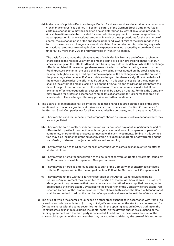**dd)** In the case of a public offer to exchange Munich Re shares for shares in another listed company ("exchange shares") as defined in Section 3 para. 2 of the German Stock Companies Act, a certain exchange ratio may be specified or also determined by way of an auction procedure. A cash benefit may also be provided for as an additional payment to the exchange offered or as compensation for any fractional amounts. In each of these procedures for the exchange of shares, the exchange price or the applicable upper and lower limits of the price range in the form of one or more exchange shares and calculated fractional amounts, including any cash or fractional amounts (excluding incidental expenses), may not exceed by more than 10% or undercut by more than 20% the relevant value of Munich Re shares.

 The basis for calculating the relevant value of each Munich Re share and of each exchange share shall be the respective arithmetic mean closing price in Xetra trading on the Frankfurt stock exchange on the fifth, fourth and third trading day before the date on which the exchange offer is published. If the exchange shares are not traded in the Xetra trading system on the Frankfurt stock exchange, the basis shall be the closing prices quoted on the stock exchange having the highest average trading volume in respect of the exchange shares in the course of the preceding calendar year. If after a public exchange offer there are significant deviations in the relevant share price, the offer may be adjusted. In this case, the basis for the adjustment shall be the arithmetic mean closing price on the fifth, fourth and third trading day before the date of the public announcement of the adjustment. The volume may be restricted. If the exchange offer is oversubscribed, acceptance shall be based on quotas. For this, the Company may provide for preferred acceptance of small lots of shares (up to 100 shares tendered per shareholder). The exchange offer may provide for further conditions.

- **c)** The Board of Management shall be empowered to use shares acquired on the basis of the aforementioned or previously granted authorisations or in accordance with Section 71d sentence 5 of the German Stock Companies Act for all legally admissible purposes, and in particular as follows:
	- **aa)** They may be used for launching the Company's shares on foreign stock exchanges where they are not yet listed.
	- **bb)** They may be sold directly or indirectly in return for non-cash payment, in particular as part of offers to third parties in connection with mergers or acquisitions of companies or parts of companies, shareholdings or assets connected with such investments. Selling in this connection may also include the granting of conversion or subscription rights or of warrants and the transferring of shares in conjunction with securities lending.
	- **cc)** They may be sold to third parties for cash other than via the stock exchange or via an offer to all shareholders.
	- **dd)** They may be offered for subscription to the holders of conversion rights or warrants issued by the Company or one of its dependent Group companies.
	- **ee)** They may be offered as employee shares to staff of the Company or of enterprises affi liated with the Company within the meaning of Section 15 ff. of the German Stock Companies Act.
	- **ff)** They may be retired without a further resolution of the Annual General Meeting being required. Any retirement may be limited to a portion of the bought-back shares. The Board of Management may determine that the shares can also be retired in a simplified process, without reducing the share capital, by adjusting the proportion of the Company's share capital represented by each of the remaining no-par-value shares. In this case, the Board of Management shall be authorised to adjust the number of no-par-value shares in the Articles of Association.
- **d)** The price at which the shares are launched on other stock exchanges in accordance with item c) aa or sold in accordance with item c) cc may not significantly undercut the stock price determined for Company shares with the same securities number in the opening auction in Xetra trading on the Frankfurt stock exchange (excluding incidental costs) on the day the shares are launched or the binding agreement with the third party is concluded. In addition, in these cases the sum of the shares sold, together with any shares that may be issued or sold during the term of this authorisa-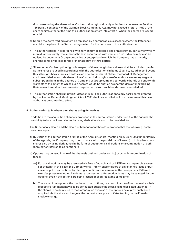tion by excluding the shareholders' subscription rights, directly or indirectly pursuant to Section 186 para. 3 sentence 4 of the German Stock Companies Act, may not exceed a total of 10% of the share capital, either at the time this authorisation enters into effect or when the shares are issued or sold.

- **e)** Should the Xetra trading system be replaced by a comparable successor system, the latter shall also take the place of the Xetra trading system for the purposes of this authorisation.
- **f)** The authorisations in accordance with item c) may be utilised one or more times, partially or wholly, individually or jointly; the authorisations in accordance with item c) bb, cc, dd or ee may also be utilised by dependent Group companies or enterprises in which the Company has a majority shareholding, or utilised for its or their account by third parties.
- **g)** Shareholders' subscription rights in respect of these bought-back shares shall be excluded insofar as the shares are used in accordance with the authorisations in items c) aa, bb, cc, dd or ee. Beyond this, if bought-back shares are sold via an offer to the shareholders, the Board of Management shall be entitled to exclude shareholders' subscription rights insofar as this is necessary to grant subscription rights to the bearers of Company or Group company convertible bonds or bonds with warrants to the extent to which such bearers would be entitled as shareholders after exercising their warrants or after the conversion requirements from such bonds have been satisfied.
- **h)** The authorisation shall run until 21 October 2010. The authorisation to buy back shares granted by the Annual General Meeting on 17 April 2008 shall be cancelled as from the moment this new authorisation comes into effect.

### **6 Authorisation to buy back own shares using derivatives**

In addition to the acquisition channels proposed in the authorisation under item 5 of the agenda, the possibility to buy back own shares by using derivatives is also to be provided for.

The Supervisory Board and the Board of Management therefore propose that the following resolutions be adopted:

- **a)** By virtue of the authorisation granted at the Annual General Meeting on 22 April 2009 under item 5 of the agenda, the Company may in accordance with the provisions of items b) to h) buy back own shares also by using derivatives in the form of put options, call options or a combination of both (hereinafter referred to as "options").
- **b)** Options may be used in one of the channels outlined under aa), bb) or cc) or in a combination of these:
	- **aa)** Put or call options may be exercised via Eurex Deutschland or LIFFE (or a comparable successor system). In this case, the Company shall inform shareholders of any planned issue or purchase of put or call options by placing a public announcement in the newspapers. Different exercise prices (excluding incidental expenses) on different due dates may be selected for the options, even if the options are being issued or acquired at the same time.
	- **bb)** The issue of put options, the purchase of call options, or a combination of both as well as their respective fulfilment may also be conducted outside the stock exchanges listed under aa) if the shares to be delivered to the Company on exercise of the options have previously been acquired via the stock exchange at the current share price in Xetra trading on the Frankfurt stock exchange.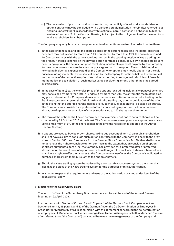**cc)** The conclusion of put or call option contracts may be publicly offered to all shareholders or option contracts may be concluded with a bank or a credit institution (hereinafter referred to as "issuing undertaking") in accordance with Section 53 para. 1 sentence 1 or Section 53b para. 1 sentence 1 or para. 7 of the German Banking Act subject to the obligation to offer these options to all shareholders for subscription.

The Company may only buy back the options outlined under items aa) to cc) in order to retire them.

- **c)** In the case of item b) aa and bb, the exercise price of the options (excluding incidental expenses) per share may not exceed by more than 10% or undercut by more than 20% the price determined for Company shares with the same securities number in the opening auction in Xetra trading on the Frankfurt stock exchange on the day the option contract is concluded. If own shares are bought back using options, the acquisition price (excluding incidental expenses) payable by the Company for the shares corresponds to the exercise price agreed on in the option. The acquisition price (excluding incidental expenses) paid by the Company for options may not lie above, nor the sale price (excluding incidental expenses) collected by the Company for options below, the theoretical market value of the respective option determined according to recognised principles of financial mathematics, the calculation of such market value considering among other things the agreed exercise price.
- **d)** In the case of item b) cc, the exercise price of the options (excluding incidental expenses) per share may not exceed by more than 10% or undercut by more than 20% the arithmetic mean of the closing price determined for Company shares with the same securities number in Xetra trading on the Frankfurt stock exchange on the fifth, fourth and third trading day prior to publication of the offer. In the event that the offer to shareholders is oversubscribed, allocation shall be based on quotas. The Company may provide for a preferred offer for concluding option contracts or a preferred allocation of options for small lots of shares (options up to 100 shares per shareholder).
- **e)** The term of the options shall be so determined that exercising options to acquire shares will be completed by 21 October 2010 at the latest. The Company may use options to acquire own shares up to a maximum of 5% of the share capital at the time the resolution is adopted at the Annual General Meeting.
- **f)** If options are used to buy back own shares, taking due account of item b) aa or bb, shareholders shall not have a claim to conclude such option contracts with the Company, in line with the provisions of Section 186 para. 3 sentence 4 of the German Stock Companies Act. Neither shall shareholders have the right to conclude option contracts to the extent that, on conclusion of option contracts pursuant to item b) cc, the Company has provided for a preferred offer or preferred allocation for the conclusion of option contracts with regard to small lots of shares. Shareholders shall have a right to offer their shares to the Company only insofar as the Company is obligated to purchase shares from them pursuant to the option contracts.
- **g)** Should the Xetra trading system be replaced by a comparable successor system, the latter shall also take the place of the Xetra trading system for the purposes of this authorisation.
- **h)** In all other respects, the requirements and uses of the authorisation granted under item 5 of the agenda shall apply.

### **7 Elections to the Supervisory Board**

The term of office of the Supervisory Board members expires at the end of the Annual General Meeting on 22 April 2009.

In accordance with Sections 96 para. 1 and 101 para. 1 of the German Stock Companies Act and Sections 5 item 1, 15 para.1, and 22 of the German Act on the Co-Determination of Employees in Cross-Border Mergers (MgVG) in conjunction with the agreement concerning the co-determination of employees of Münchener Rückversicherungs-Gesellschaft Aktiengesellschaft in München (hereinafter referred to as "the Company") concluded between the managements of the Company and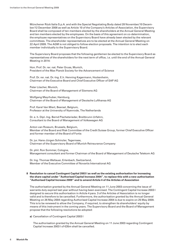Münchener Rück Italia S.p.A. and with the Special Negotiating Body dated 28 November/10 December/12 December 2008 as well as Article 10 of the Company's Articles of Association, the Supervisory Board shall be composed of ten members elected by the shareholders at the Annual General Meeting and ten members elected by the employees. On the basis of this agreement on co-determination, the employee representatives on the Supervisory Board have already been elected by the relevant committees. The shareholder representatives are to be elected at the Annual General Meeting on 22 April 2009. The AGM is not obliged to follow election proposals. The intention is to elect each member individually to the Supervisory Board.

The Supervisory Board proposes that the following gentlemen be elected to the Supervisory Board as representatives of the shareholders for the next term of office, i.e. until the end of the Annual General Meeting in 2014:

Hon. Prof. Dr. rer. nat. Peter Gruss, Munich, President of the Max Planck Society for the Advancement of Science

Prof. Dr. rer. nat. Dr.-Ing. E.h. Henning Kagermann, Hockenheim, Chairman of the Executive Board and Chief Executive Officer of SAP AG

Peter Löscher, Munich, Chairman of the Board of Management of Siemens AG

Wolfgang Mayrhuber, Hamburg, Chairman of the Board of Management of Deutsche Lufthansa AG

Prof. Karel Van Miert, Beersel, Belgium, Professor at the University of Nyenrode, The Netherlands

Dr. e. h. Dipl.-Ing. Bernd Pischetsrieder, Breitbrunn-Urfahrn, Consultant to the Board of Management of Volkswagen AG

Anton van Rossum, Brussels, Belgium, Member of the Board and Risk Committee of the Credit Suisse Group, former Chief Executive Officer and former member of the Board of Fortis

Dr. jur. Hans-Jürgen Schinzler, Tegernsee, Chairman of the Supervisory Board of Munich Reinsurance Company

Dr. phil. Ron Sommer, Cologne, Management consultant and former Chairman of the Board of Management of Deutsche Telekom AG

Dr. Ing. Thomas Wellauer, Erlenbach, Switzerland, Member of the Executive Committee of Novartis International AG

### **8 Resolution to cancel Contingent Capital 2003 I as well as the existing authorisation for increasing the share capital under "Authorised Capital Increase 2004", to replace this with a new authorisation "Authorised Capital Increase 2009" and to amend Article 4 of the Articles of Association**

The authorisation granted by the Annual General Meeting on 11 June 2003 concerning the issue of warrants duly expired last year without having been exercised. The Contingent Capital Increase 2003 I designed to secure this authorisation in Article 4 para. 3 of the Articles of Association is no longer valid and is therefore to be cancelled. Furthermore, the authorisation granted by the Annual General Meeting on 26 May 2004 regarding Authorised Capital Increase 2004 is due to expire on 25 May 2009. This is to be renewed to allow the Company, if required, to strengthen its shareholders' equity by means of this instrument in the coming years. The Supervisory Board and the Board of Management propose that the following resolutions be adopted:

### **a)** Cancellation of Contingent Capital 2003 I

 The authorisation granted by the Annual General Meeting on 11 June 2003 regarding Contingent Capital Increase 2003 I of €35m shall be cancelled.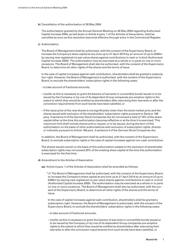**b)** Cancellation of the authorisation of 26 May 2004

 The authorisation granted by the Annual General Meeting on 26 May 2004 regarding Authorised Capital Increase 2004, as laid down in Article 4 para. 1 of the Articles of Association, shall be cancelled as soon as this resolution becomes effective through entry in the Commercial Register.

**c)** Authorisation

 The Board of Management shall be authorised, with the consent of the Supervisory Board, to increase the Company's share capital at any time up to 21 April 2014 by an amount of up to €280m by issuing new registered no-par-value shares against contributions in cash or in kind (Authorised Capital Increase 2009). The authorisation may be exercised as a whole or in parts on one or more occasions. The Board of Management shall also be authorised, with the consent of the Supervisory Board, to determine all other rights of the shares and the terms of issue.

 In the case of capital increases against cash contribution, shareholders shall be granted a subscription right. However, the Board of Management is authorised, with the consent of the Supervisory Board, to exclude the shareholders' subscription rights in the following cases:

- to take account of fractional amounts,
- insofar as this is necessary to grant the bearers of warrants or convertible bonds issued or to be issued by the Company or by one of its dependent Group companies pre-emptive rights to the extent to which they would be entitled as shareholders after exercising their warrants or after the conversion requirements from such bonds have been satisfied, or
- if the issue price of the new shares is not significantly lower than the stock market price and the shares issued with exclusion of the shareholders' subscription rights pursuant to Section 186 para. 3 sentence 4 of the German Stock Companies Act do not exceed a total of 10% of the share capital either at the time this authorisation becomes effective or at the time it is exercised. This maximum limit shall include shares sold or issued, or to be issued, during the term of this authorisation on the basis of other authorisations with exclusion of subscription rights, directly or in directly pursuant to Article 186 para. 3 sentence 4 of the German Stock Companies Act.

 In addition, the Board of Management shall be authorised, with the consent of the Supervisory Board, to exclude subscription rights in the case of capital increases against non-cash contribution.

 The shares issued overall on the basis of this authorisation subject to the exclusion of shareholder subscription rights may not exceed 20% of the existing share capital at the time this authorisation is exercised for the first time.

- **d)** Amendment to the Articles of Association
	- **aa)** Article 4 para. 1 of the Articles of Association shall be amended as follows:

 " (1) The Board of Management shall be authorised, with the consent of the Supervisory Board, to increase the Company's share capital at any time up to 21 April 2014 by an amount of up to €280m by issuing new registered no-par-value shares against contributions in cash or in kind (Authorised Capital Increase 2009). The authorisation may be exercised as a whole or in parts on one or more occasions. The Board of Management shall also be authorised, with the consent of the Supervisory Board, to determine all other rights of the shares and the terms of issue.

In the case of capital increases against cash contribution, shareholders shall be granted a subscription right. However, the Board of Management is authorised, with the consent of the Supervisory Board, to exclude the shareholders' subscription rights in the following cases:

- to take account of fractional amounts,
- insofar as this is necessary to grant the bearers of warrants or convertible bonds issued or to be issued by the Company or by one of its dependent Group companies pre-emptive rights to the extent to which they would be entitled as shareholders after exercising their warrants or after the conversion requirements from such bonds have been satisfied, or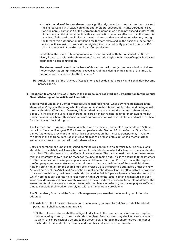– if the issue price of the new shares is not significantly lower than the stock market price and the shares issued with exclusion of the shareholders' subscription rights pursuant to Section 186 para. 3 sentence 4 of the German Stock Companies Act do not exceed a total of 10% of the share capital either at the time this authorisation becomes effective or at the time it is exercised. This maximum limit shall include shares sold or issued, or to be issued, during the term of this authorisation until the time they are exercised on the basis of other authorisations with exclusion of subscription rights, directly or indirectly pursuant to Article 186 para. 3 sentence 4 of the German Stock Companies Act.

In addition, the Board of Management shall be authorised, with the consent of the Super- "visory Board, to exclude the shareholders' subscription rights in the case of capital increases against non-cash contribution.

The shares issued overall on the basis of this authorisation subject to the exclusion of share holder subscription rights may not exceed 20% of the existing share capital at the time this authorisation is exercised for the first time."

 **bb)** Article 4 para. 3 of the Articles of Association shall be deleted, paras. 4 and 5 shall duly become paras. 3 and 4.

### **9 Resolution to amend Articles 3 (entry in the shareholders' register) and 6 (registration for the Annual General Meeting) of the Articles of Association**

 Since it was founded, the Company has issued registered shares, whose owners are named in the shareholders' register. Knowing who the shareholders are facilitates direct contact and dialogue with the shareholders. Whereas in Germany it is standard practice to enter the names of shareholders directly in the register, our foreign shareholders are often not registered under their own name but under the name of a bank. This can complicate communication with shareholders and make it difficult for them to exercise their rights.

The German law on limiting risks in connection with financial investments (Risk Limitation Act) that came into force on 19 August 2008 allows companies under Section 67 of the German Stock Companies Act to make provisions in their articles of association that increase transparency in relation to entries in the shareholders' register. Advantage is to be taken of this option in order to further enhance our direct communication with shareholders.

 Entry of shareholdings under a so-called nominee will continue to be permissible. The provisions stipulated in the Articles of Association will set thresholds above which disclosure of the shareholder is required. This disclosure can be effected in several ways. The disclosure duties of nominees are to relate to what they know or can be reasonably expected to find out. This is to ensure that the interests of intermediaries and market participants are also taken into account. Provided that at the request of the Company nominees make a clear commitment to disclose the identity of the beneficial shareholder, voting rights from the shares may be exercised up to the threshold stipulated under the new Article 3 para. 5 of the Articles of Association. Small shareholders will not be affected by the proposed provisions; to this end, the lower threshold stipulated in Article 3 para. 4 item a defines the limit up to which nominees can definitely exercise voting rights. All of the issuers, financial institutes and services providers involved are currently working on the procedures necessary for implementation. The amendments will therefore not enter into force immediately in order to give market players sufficient time to conclude their work on complying with the transparency provisions.

 The Supervisory Board and the Board of Management propose that the following resolutions be adopted:

- **a)** In Article 3 of the Articles of Association, the following paragraphs 3, 4, 5 and 6 shall be added; paragraph 3 shall become paragraph 7:
	- " (3) The holders of shares shall be obliged to disclose to the Company any information required by law relating to entry in the shareholders' register. Furthermore, they shall indicate the extent to which the shares actually belong to the person duly entered in the shareholders' register as the holder. If the holder has an e-mail address, this shall also be communicated.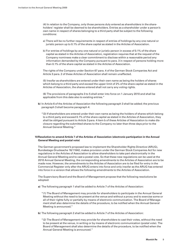(4) In relation to the Company, only those persons duly entered as shareholders in the shareholders' register shall be deemed to be shareholders. Entries as a shareholder under a person's own name in respect of shares belonging to a third party shall be subject to the following conditions:

- a) There will be no further requirements in respect of entries of holdings by any one natural or juristic person up to 0.1% of the share capital as stated in the Articles of Association.
- b) For entries of holdings by any one natural or juristic person in excess of 0.1% of the share capital as stated in the Articles of Association, registration requires that at the request of the Company nominees make a clear commitment to disclose within a reasonable period any information demanded by the Company pursuant to para. 3 in respect of persons holding more than 0.1% of the share capital as stated in the Articles of Association.

The rights of the Company under Section 67 para. 4 of the German Stock Companies Act and Article 3 para. 2 of these Articles of Association shall remain unaffected.

(5) Insofar as shareholders are entered under their own name as being the holders of shares which belong to a third party and exceed the upper limit of 2% of the share capital as stated in the Articles of Association, the shares entered shall not carry any voting rights.

 " (6) The provisions of paragraphs 3 to 5 shall enter into force on 1 January 2010 and shall be applicable from this date also to existing entries."

- **b**) In Article 6 of the Articles of Association the following paragraph 3 shall be added; the previous paragraph 3 shall become paragraph 4:
	- " (3) If shareholders are entered under their own name as being the holders of shares which belong to a third party and exceed 0.1% of the share capital as stated in the Articles of Association, they shall be obliged pursuant to Article 3 para. 4 item b of these Articles of Association to make disclosure regarding the submitted shares to the Company no later than three days prior to the Annual General Meeting."

# **10 Resolution to amend Article 7 of the Articles of Association (electronic participation in the Annual General Meeting and postal vote)**

 The German government's proposed law to implement the Shareholder Rights Directive (ARUG), Bundestags-Drucksache 16/11642, makes provision under the German Stock Companies Act for new regulations in the Articles of Association to allow shareholders to take part electronically in the Annual General Meeting and to cast a postal vote. So that these new regulations can be used at the 2010 Annual General Meeting, the corresponding amendments to the Articles of Association are to be made now. However, the amendments to the Articles of Association are to be filed for entry in the Commercial Register only after the ARUG enters into force and only insofar as the ARUG has entered into force in a version that allows the following amendments to the Articles of Association.

 The Supervisory Board and the Board of Management propose that the following resolutions be adopted:

- **a)** The following paragraph 1 shall be added to Article 7 of the Articles of Association:
	- " (1) The Board of Management may provide for shareholders to participate in the Annual General Meeting without the need to be present at the venue and without a proxy and to exercise some or all of their rights fully or partially by means of electronic communication. The Board of Management shall also determine the details of the procedure, to be notified when the Annual General Meeting is announced."
- **b)** The following paragraph 2 shall be added to Article 7 of the Articles of Association:

 " (2) The Board of Management may provide for shareholders to cast their votes, without the need to be present at the venue, in writing or by means of electronic communication (postal vote). The Board of Management shall also determine the details of the procedure, to be notified when the Annual General Meeting is announced."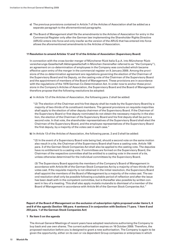- **c)** The previous provisions contained in Article 7 of the Articles of Association shall be added as a separate paragraph to the aforementioned paragraphs.
- **d**) The Board of Management shall file the amendments to the Articles of Association for entry in the Commercial Register only after the German law implementing the Shareholder Rights Directive (ARUG) enters into force and only insofar as the version of the ARUG that has entered into force allows the aforementioned amendments to the Articles of Association.

### **11 Resolution to amend Articles 12 and 13 of the Articles of Association (Supervisory Board)**

 In connection with the cross-border merger of Münchener Rück Italia S.p.A. into Münchener Rückversicherungs-Gesellschaft Aktiengesellschaft in München (hereinafter referred to as "the Company"), an agreement on co-determination of employees in the Company was concluded which became effective upon entry of the merger in the commercial register on 9 January 2009. Among the provisions of the co-determination agreement are regulations governing the election of the Chairman of the Supervisory Board and his Deputy, on the casting vote of the Chairman of the Supervisory Board and the appointment of members of the Board of Management. These provisions are in accordance with the regulations of the 1976 German Co-Determination Act. In order now to anchor these provisions in the Company's Articles of Association, the Supervisory Board and the Board of Management therefore propose that the following resolutions be adopted:

- **a)** In Article 12 of the Articles of Association, the following para. 2 shall be added:
	- "(2) The election of the Chairman and his first deputy shall be made by the Supervisory Board by a majority of two-thirds of its constituent members. The general provisions on requisite majorities shall apply to the election of other deputy chairmen of the Supervisory Board. If the Chairman of the Supervisory Board or first deputy nominated do not obtain the necessary majority in the election, the election of the Chairman of the Supervisory Board and his first deputy shall be put to a second vote. In that vote, the shareholder representatives of the Supervisory Board shall elect the Chairman of the Supervisory Board, and the employee representatives of the Supervisory Board the first deputy, by a majority of the votes cast in each case."

**b)** In Article 13 of the Articles of Association, the following paras. 2 and 3 shall be added:

 " (2) In the event of a Supervisory Board vote being tied, should a second vote on the same motion also result in a tie, the Chairman of the Supervisory Board shall have a casting vote. Article 108 para. 3 of the German Stock Companies Act shall also be applied to the casting vote. The deputies have no entitlement to a casting vote. If committees are formed on the Supervisory Board, the Chairman of the respective committee shall be entitled to a casting vote in the event of a tie, unless otherwise determined for the individual committees by the Supervisory Board.

(3) The Supervisory Board appoints the members of the Company's Board of Management in accordance with Article 84 of the German Stock Companies Act by a majority of two-thirds of the votes cast. If the requisite majority is not obtained in the initial resolution, the Supervisory Board shall appoint the members of the Board of Management by a majority of the votes cast. The second resolution shall only be possible following a suitable period of reflection and after the issue has been dealt with in the competent committee, but is thereafter also possible by written consent in lieu of a meeting. This shall also apply mutatis mutandis to dismissal of a member of the Board of Management in accordance with Article 84 of the German Stock Companies Act."

**Report of the Board of Management on the exclusion of subscription rights proposed under items 5, 6 and 8 of the agenda (Section 186 para. 4 sentence 2 in conjunction with Sections 71 para. 1 item 8 and 203 para. 1 of the German Stock Companies Act)**

### **1 Re item 5 on the agenda**

 The Annual General Meetings of recent years have adopted resolutions authorising the Company to buy back and use own shares. The current authorisation expires on 16 October 2009. Therefore, the proposed resolution before you is designed to grant a new authorisation. The Company is again to be given the opportunity, either on its own or via dependent Group companies or enterprises in which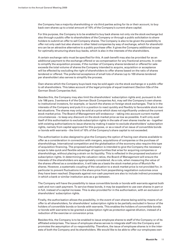the Company has a majority shareholding or via third parties acting for its or their account, to buy back own shares up to a total amount of 10% of the Company's current share capital.

 For this purpose, the Company is to be enabled to buy back shares not only via the stock exchange but also through a public offer to shareholders of the Company or through a public solicitation to shareholders to submit an offer to sell Company shares. The Company is also to be given the possibility to offer not only cash but also shares in other listed companies by way of exchange, which for shareholders can be an attractive alternative to a public purchase offer. It gives the Company additional scope for optimally structuring share buy-backs, which is also in the interests of the shareholders.

A certain exchange ratio must be specified for this. A cash benefit may also be provided for as an additional payment to the exchange offered or as compensation for any fractional amounts. In order to simplify the acquisition process, if the number of Company shares tendered or offered for sale exceeds the total volume of shares the Company intended to acquire, acquisition or acceptance will be effected by excluding the right of shareholders to offer shares based on the ratio of shares tendered or offered. The preferred acceptance of small lots of shares (up to 100 shares tendered per shareholder) also serves to simplify the process.

 Own shares which the Company buys back may be sold again via the stock exchange or a public offer to all shareholders. This takes account of the legal principle of equal treatment (Section 53a of the German Stock Companies Act).

 Besides this, the Company may also limit the shareholders' subscription rights and, pursuant to Article 186 para. 3 sentence 4 of the German Stock Companies Act, may sell the Company's own shares to institutional investors, for example, or launch the shares on foreign stock exchanges. That is in the interests of the Company and puts it in a position to react quickly and flexibly to favourable stock market situations. The shares may only be sold at a price which does not significantly undercut the current stock market price. The Board of Management will endeavour – taking into account current market circumstances – to keep any discount on the stock market price as low as possible. It will only avail itself of this authorisation to exclude subscription rights in the sale of own shares insofar as – together with existing authorisations to issue shares by making it easier to exclude shareholders' subscription rights, namely from capital approved for this purpose, or as a result of an issue of convertible bonds or bonds with warrants – the limit of 10% of the Company's share capital is not exceeded.

 The authorisation is also designed to give the Company the option of having own shares available to offer as a consideration in connection with mergers, acquisitions of companies or the purchase of shareholdings. International competition and the globalisation of the economy also require this type of acquisition financing. The proposed authorisation is intended to give the Company the necessary scope to take quick and flexible advantage of opportunities that arise for acquiring companies or shareholdings, without placing a strain on its liquidity. This is reflected in the proposed exclusion of subscription rights. In determining the valuation ratios, the Board of Management will ensure the interests of the shareholders are appropriately considered. As a rule, when measuring the value of the shares offered as a consideration, it will take as a basis the stock market price of Munich Re shares. However, a systematic coupling of the valuation to a stock market price is not provided for, in particular to prevent fluctuations in the share price from jeopardising negotiation outcomes once they have been reached. Disposals against non-cash payment are also to include indirect processing in which a bank or similar institution acts as a go-between.

 The Company will have the possibility to issue convertible bonds or bonds with warrants against both cash and non-cash payment. To service these bonds, it may be expedient to use own shares in part or in full, instead of a capital increase. This is also provided for in the authorisation, with an exclusion of shareholders' subscription rights.

 Finally, the authorisation allows the possibility, in the event of own shares being sold by means of an offer to all shareholders, for shareholders' subscription rights to be partially excluded in favour of the holders of convertible bonds or bonds with warrants. This enables the holders of convertible bonds or bonds with warrants to be granted a subscription right as protection against dilution, instead of a reduction of the exercise or conversion price.

 Besides this, the Company is to be enabled to issue employee shares to staff of the Company or of its affiliated enterprises. The issue of employee shares serves to integrate staff into the Company and promotes the assumption of co-responsibility. Therefore, the issue of employee shares is in the interests of both the Company and its shareholders. We would like to be able to offer our employees own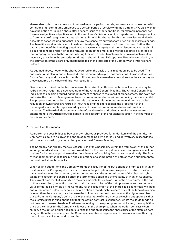shares also within the framework of innovative participation models, for instance in connection with conditions that commit the employee to a certain period of service with the Company. We also wish to have the option of linking a share offer or share issue to other conditions, for example personal performance objectives, objectives within the employee's divisional unit or department, or to a project or to Company profit targets or targets relating to Munich Re shares. For this purpose, it should also be possible to set an issuing price that is below the respective current share price on the stock exchange. The benefit should in this case not be determined purely in terms of a formal discount. Rather, the overall amount of the benefit granted in each case to an employee through discounted shares should be in a reasonable proportion to the remuneration of the employee or to the expected advantage to the Company, subject to the condition being fulfilled. In order to achieve the above objectives, it is necessary to exclude the subscription rights of shareholders. This option will only be exercised if, in the estimation of the Board of Management, it is in the interests of the Company and thus its shareholders.

 As outlined above, not only the shares acquired on the basis of this resolution are to be used. The authorisation is also intended to include shares acquired on previous occasions. It is advantageous for the Company and creates further flexibility to be able to use these own shares in the same way as those acquired on the basis of this new resolution.

 Own shares acquired on the basis of a resolution taken to authorise the buy-back of shares may be retired without requiring a new resolution of the Annual General Meeting. The Annual General Meeting leaves the decision regarding the retirement of shares to the Board of Management. The AGM can authorise the Board of Management to retire no-par-value shares without reducing the share capital. The proposed authorisation provides for this option in addition to retirement with a share capital reduction. If own shares are retired without reducing the share capital, the proportion of the unchanged share capital represented by each of the other no-par-value shares automatically increases. The Board of Management is therefore also to be authorised to make the necessary amendment to the Articles of Association to take account of the resultant reduction in the number of no-par-value shares.

### **2 Re item 6 on the agenda**

 Apart from the possibilities to buy back own shares as provided for under item 5 of the agenda, the Company is again to be given the option of purchasing own shares using derivatives, in accordance with the authorisation granted at last year's Annual General Meeting.

 The Company has already made successful use of this possibility within the framework of the authorisation granted last year. This has confirmed that for the Company it may be advantageous to sell put options for instance or purchase call options instead of acquiring Company shares directly. The Board of Management intends to use put and call options or a combination of both only as a supplement to conventional share buy-backs.

 When selling put options, the Company grants the acquirer of the put options the right to sell Munich Re shares to the Company at a price laid down in the put option (exercise price). In return, the Company receives an option premium, which corresponds to the economic value of the disposal right taking into account the exercise price, the term of the option and the volatility of Munich Re shares. The current high level of volatility on the stock markets thus allows high option premiums. If the put option is exercised, the option premium paid by the acquirer of the put option reduces the countervalue rendered as a whole by the Company for the acquisition of the shares. It is economically expedient for the option holder to exercise the put option if the Munich Re share price at the time of exercise is lower than the exercise price, because the holder can then sell the shares at the higher exercise price. From the Company's point of view, the advantage of share buy-backs using put options is that the exercise price is fixed on the day that the option contract is concluded, whilst the liquid funds do not flow until the exercise date. Furthermore, owing to the option premium collected, the acquisition price of the shares for the Company is lower than the share price when the option contract is concluded. If the option holder does not exercise the option because the share price at the exercise date is higher than the exercise price, the Company is unable to acquire any of its own shares in this way but still has the collected option premium.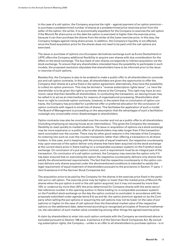In the case of a call option, the Company acquires the right – against payment of an option premium – to purchase a predetermined number of shares at a predetermined price (exercise price) from the seller of the option, the writer. It is economically expedient for the Company to exercise the call option if the Munich Re share price on the date the option is exercised is higher than the exercise price, because it can then purchase the shares from the writer at the lower exercise price. In this way, the Company hedges against rising share prices. In addition, the Company's liquidity is not affected, since the fixed acquisition price for the shares does not need to be paid until the call options are exercised.

 The issue or purchase of options via a European derivatives exchange such as Eurex Deutschland or LIFFE offers the Company additional flexibility to acquire own shares with due consideration for the effect on the stock exchange. The buy-back of own shares corresponds to indirect acquisition via the stock exchange. To ensure that any shareholders interested have the possibility to participate in such models, the proposed resolution stipulates that shareholders have to be informed prior to the issue or exercise of such options.

 Besides this, the Company is also to be enabled to make a public offer to all shareholders to conclude put and call option contracts. In this case, all shareholders are given the opportunity to offer the Company their shares at a price fixed in the option agreement; alternatively, they have the possibility to collect an option premium. This may be termed a "reverse subscription rights issue", i.e. here the shareholder is to be given the right to surrender shares to the Company. This right may have an economic value that then benefits all shareholders. In conducting the transaction, an issuing house may be called in to act as an intermediary for reasons of organisational processing. Shareholders shall have no right to conclude option contracts, however, to the extent that on conclusion of option contracts, the Company has provided for a preferred offer or preferred allocation for the conclusion of option contracts with regard to small lots of shares. This facilitates the application of such a model. The Board of Management is proceeding on the assumption that the advantages of such a facilitation outweigh any conceivable minor disadvantages to shareholders.

 Option contracts may also be concluded over the counter and not as a public offer to all shareholders (including employing an issuing house as an intermediary). This gives the Company the necessary flexibility to react quickly to market situations. The issue or acquisition of options via a stock exchange may be more expensive or a public offer to all shareholders may take longer than if the transaction were concluded over the counter. There may be other good reasons in the interests of the Company for entering into such an over-the-counter transaction rather than offering a transaction to all shareholders. In this case, and in keeping with the principle of equal treatment, the respective counterparty may upon exercise of the option deliver only shares that have been acquired via the stock exchange at the current share price in Xetra trading (or a comparable successor system) on the Frankfurt stock exchange. On conclusion of a put option contract, such a requirement must be an integral part of the transaction. On conclusion of a call option contract, the Company may exercise the option only if it has been ensured that on exercising the option the respective counterparty delivers only shares that satisfy the aforementioned requirements. The fact that the respective counterparty in the option contract delivers only shares acquired under the aforementioned conditions is intended to satisfy the legal requirement of equal treatment of shareholders pursuant to the provisions in Section 71 para. 1 item 8 sentence 4 of the German Stock Companies Act.

The acquisition price to be paid by the Company for the shares is the exercise price fixed in the particular put or call option. The exercise price may be higher or lower than the market price of Munich Re shares when the put option is sold or the call option acquired, but it may not exceed by more than 10% or undercut by more than 20% the price determined for Company shares with the same securities reference number in the opening auction in Xetra trading (or a comparable successor system) on the Frankfurt stock exchange on the day the option contract is concluded. In accordance with the proposals submitted under agenda items 6 b) aa and bb, the option premium agreed on by the Company when selling the put options or acquiring the call options may not be lower (in the case of put options) or higher (in the case of call options) than the theoretical market value of the respective options on the settlement date, determined according to recognised principles of financial mathematics, the calculation of such market value considering among other things the agreed exercise price.

 A claim by shareholders to enter into such option contracts with the Company as mentioned above is excluded pursuant to Section 186 para. 3 sentence 4 of the German Stock Companies Act. By excluding subscription rights, the Company – unlike in an offer to all shareholders to purchase options – is in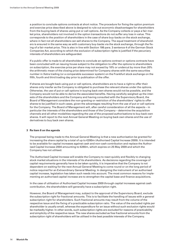a position to conclude options contracts at short notice. The procedure for fixing the option premium and exercise price described above is designed to rule out economic disadvantages for shareholders from the buying back of shares using put or call options. As the Company collects or pays a fair market price, shareholders not involved in the option transactions do not suffer any loss in value. This corresponds to the position of shareholders in the case of share buy-backs on the stock exchange, where in fact not all shareholders can sell shares to the Company. The equal treatment of shareholders is ensured in the same way as with customary buy-backs via the stock exchange, through the fixing of a fair market price. This is also in line with Section 186 para. 3 sentence 4 of the German Stock Companies Act, according to which the exclusion of subscription rights is justified if the pecuniary interests of shareholders are safeguarded.

 If a public offer is made to all shareholders to conclude an options contract or options contracts have been concluded with an issuing house subject to the obligation to offer the options to shareholders on subscription, the exercise price per share may not exceed by 10% or undercut by more than 20% the arithmetic mean of the closing price determined for Company shares with the same securities number in Xetra trading (or a comparable successor system) on the Frankfurt stock exchange on the fifth, fourth and third trading day prior to publication of the offer.

 If shares are bought back using put or call options, shareholders are to have a right to offer their shares only insofar as the Company is obligated to purchase the relevant shares under the options. Otherwise, the use of put or call options in buying back own shares would not be possible, and the Company would not be able to derive the associated benefits. Having carefully weighed up the interests of the shareholders and the Company and having consulted with the Supervisory Board, the Board of Management considers the non-granting or restriction of the shareholders' rights to offer shares to be justified in such cases, given the advantages resulting from the use of put or call options for the Company. The Board of Management will, after careful consideration of all the aspects – in particular the interests of the shareholders and those of the Company – determine the acquisition channels and all other modalities regarding the use of the proposed authorisations to buy back own shares. It will report to the next Annual General Meeting on buying back own shares and the use of derivatives to buy back own shares.

### **3 Re item 8 on the agenda**

 The proposal being made to the Annual General Meeting is that a new authorisation be granted for increasing the share capital by a total of up to €280m (Authorised Capital Increase 2009). It is intended to be available for capital increases against cash and non-cash contribution and replace the Authorised Capital Increase 2004 amounting to €280m, which expires on 25 May 2009 and which the Company has not utilised.

The Authorised Capital Increase will enable the Company to react quickly and flexibly to changing stock market situations in the interests of its shareholders. As decisions regarding the coverage of capital requirements generally have to be taken quickly, it is imperative that the Company is not dependent on waiting for the next Annual General Meeting to come round or on the long period of notice required for an Extraordinary General Meeting. In designing the instrument of an authorised capital increase, legislation has taken such needs into account. The most common reasons for implementing an authorised capital increase are to strengthen the capital base and finance acquisitions.

 In the case of utilisation of Authorised Capital Increase 2009 through capital increases against cash contribution, the shareholders will generally have a subscription right.

 However, the Board of Management may, subject to the approval of the Supervisory Board, exclude the subscription right for fractional amounts. This is to facilitate the handling of issues with a general subscription right for shareholders. Such fractional amounts may result from the volume of the respective issue and the fixing of a practicable subscription ratio. The value of the excluded rights per shareholder is usually small, whereas the expenditure for an issue without such exclusion rights would be markedly higher. In other words, such subscription rights are excluded for reasons of practicability and simplicity of the respective issue. The new shares excluded as free fractional amounts from the subscription right of shareholders will be utilised in the best possible interests of the Company.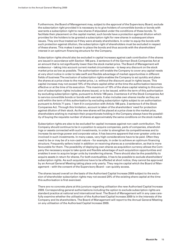Furthermore, the Board of Management may, subject to the approval of the Supervisory Board, exclude the subscription right provided it is necessary to to give holders of convertible bonds or bonds with warrants a subscription right to new shares if stipulated under the conditions of these bonds. To facilitate their placement on the capital market, such bonds have a protection against dilution which provides for the holders to be granted a subscription right for new shares in subsequent share issues. They are thus treated as if they were already shareholders. In order to equip the bonds with such protection against dilution, the subscription right of shareholders must be excluded in respect of these shares. This makes it easier to place the bonds and thus accords with the shareholders' interest in an optimum financing structure for the Company.

 Subscription rights should also be excluded in capital increases against cash contribution if the shares are issued in accordance with Section 186 para. 3 sentence 4 of the German Stock Companies Act at an amount that is not significantly lower than the stock market price. The Board of Management will endeavour – taking into account current market circumstances – to keep any discount on the stock market price as low as possible. The authorisation will enable the Company to cover any capital needs at very short notice in order to take swift and flexible advantage of market opportunities in different fields of business The exclusion of subscription rights enables the Company to act quickly and place the shares at a price close to the market price, i.e. without the discount usual in rights issues. This capital increase may not exceed 10% of the share capital either at the time the authorisation becomes effective or at the time of its execution. This maximum of 10% of the share capital relating to this exclusion of subscription rights includes shares issued, or to be issued, within the term of this authorisation by excluding subscription rights, pursuant to Article 186 para. 3 sentence 4 of the Stock Companies Act to service convertible bonds or bonds with warrants. It also includes own shares insofar as they are sold within the term of this authorisation by excluding subscription rights subject to an authorisation pursuant to Article 71 para. 1 item 8 in conjunction with Article 186 para. 3 sentence 4 of the Stock Companies Act. Through this limitation, account is taken of the shareholders' need for protection against dilution of their stock. As the new shares will be placed at a price close to the market price, shareholders wishing to maintain their proportionate holding in the Company always have the possibility of buying the requisite number of shares at approximately the same conditions on the stock market.

 Subscription rights are also to be excluded for capital increases against non-cash contribution. The Company should continue to be in a position to acquire companies, parts of companies, shareholdings or assets connected with such investments, in order to strengthen its competitiveness and to increase its earnings power and corporate value. It has become apparent that ever greater units are involved in such investments. In many cases, very high considerations have to be paid. Often they need to be or may be of a non-cash nature – for example, in order to achieve an optimum financing structure. Frequently sellers insist in addition on receiving shares as a consideration, as that is more favourable for them. The possibility of deploying own shares as acquisition currency allows the Company the necessary scope to take quick and flexible advantage of such acquisition opportunities and enables it even to acquire larger units by transferring shares. There should also be the possibility to acquire assets in return for shares. For both eventualities, it has to be possible to exclude shareholders' subscription rights. As such acquisitions have to be effected at short notice, they cannot be approved by an Annual General Meeting taking place only yearly. They require capital which the Board of Management – with the consent of the Supervisory Board – can quickly access.

 The shares issued overall on the basis of the Authorised Capital Increase 2009 subject to the exclusion of shareholder subscription rights may not exceed 20% of the existing share capital at the time this authorisation is first exercised.

 There are no concrete plans at this juncture regarding utilisation the new Authorised Capital Increase 2009. Corresponding general authorisations including the option to exclude subscription rights are standard practice at national and international level. The Board of Management will in any case carefully examine whether the utilisation of the Authorised Capital Increase 2009 is in the interests of the Company and its shareholders. The Board of Management will report to the Annual General Meeting on any utilisation of the Authorised Capital Increase 2009.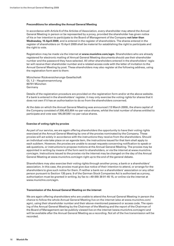### **Preconditions for attending the Annual General Meeting**

In accordance with Article 6 of the Articles of Association, every shareholder may attend the Annual General Meeting in person or be represented by a proxy, provided the shareholder has given notice of his or her intention to participate to the Board of Management of the Company **not later than Wednesday, 15 April 2009**, and is entered in the register of shareholders. The shares entered in the register of shareholders on 15 April 2009 shall be material for establishing the right to participate and the right to vote.

Registration may be made via the internet at **www.munichre.com/agm**. Shareholders who are already registered for electronic mailing of Annual General Meeting documents should use their shareholder number and the password they have selected. All other shareholders entered in the shareholders' register will receive their shareholder number and a related access code with the letter of invitation to the Annual General Meeting by post. These shareholders may also register at the following address, using the registration form sent to them:

Münchener Rückversicherungs-Gesellschaft GL 1.2 – Hauptversammlung 80791 München Germany

Details of the registration procedure are provided on the registration form and/or at the above website. If a bank is entered in the shareholders' register, it may only exercise the voting rights for shares that it does not own if it has an authorisation to do so from the shareholders concerned.

At the date on which the Annual General Meeting was announced (13 March 2009), the share capital of the Company consisted of 206,403,804 no-par-value shares, whilst the total number of shares entitled to participate and vote was 195,087,851 no-par-value shares.

### **Exercise of voting right by proxies**

As part of our service, we are again offering shareholders the opportunity to have their voting rights exercised at the Annual General Meeting by one of the proxies nominated by the Company. These proxies will act solely in accordance with the instructions they receive from the shareholders. Should an individual vote take place on an agenda item, the instructions issued for that item shall apply to each subitem. However, the proxies are unable to accept requests concerning notification to speak or ask questions, or instructions to propose motions at the Annual General Meeting. The proxies may be appointed in writing by means of the form sent to shareholders, or via the internet at www.munichre. com/agm. Instructions issued to the proxies via the internet may be changed on the day of the Annual General Meeting at www.munichre.com/agm right up to the end of the general debate.

Shareholders may also exercise their voting rights through another proxy, a bank or a shareholders' association. In this case, the proxies must give due notice of their intention to attend, or arrange for the shareholders to give such notice for them. If neither a bank nor a shareholders' association or any other person pursuant to Section 135 para. 9 of the German Stock Companies Act is authorised as a proxy, authorisation must be granted in writing, by fax to +49 (89) 38 91-45 15, or online via the internet at www.munichre.com/agm.

#### **Transmission of the Annual General Meeting on the internet**

We are again offering shareholders who are unable to attend the Annual General Meeting in person the chance to follow the whole Annual General Meeting live on the internet (also at www.munichre.com/ agm), using their shareholder number and their above-mentioned password or access code. The opening of the Annual General Meeting by the Chairman of the Meeting and the report of the Chairman of the Board of Management can be publicly viewed live on the internet (www.munichre.com/agm) and will be available after the Annual General Meeting as a recording. Not all of the live transmission will be recorded.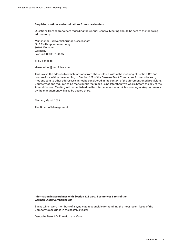### **Enquiries, motions and nominations from shareholders**

Questions from shareholders regarding the Annual General Meeting should be sent to the following address only:

Münchener Rückversicherungs-Gesellschaft GL 1.2 – Hauptversammlung 80791 München Germany Fax: +49 (89) 38 91-45 15

or by e-mail to

shareholder@munichre.com

This is also the address to which motions from shareholders within the meaning of Section 126 and nominations within the meaning of Section 127 of the German Stock Companies Act must be sent; motions sent to other addresses cannot be considered in the context of the aforementioned provisions. Countermotions required to be made public that reach us no later than two weeks before the day of the Annual General Meeting will be published on the internet at www.munichre.com/agm. Any comments by the management will also be posted there.

Munich, March 2009

The Board of Management

### **Information in accordance with Section 128 para. 2 sentences 6 to 8 of the German Stock Companies Act**

Banks which were members of a syndicate responsible for handling the most recent issue of the Company's securities in the past five years:

Deutsche Bank AG, Frankfurt am Main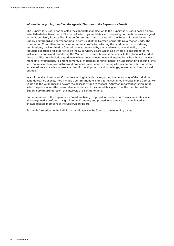### **Information regarding item 7 on the agenda (Elections to the Supervisory Board)**

The Supervisory Board has selected the candidates for election to the Supervisory Board based on preestablished objective criteria. The task of selecting candidates and preparing nominations was assigned to the Supervisory Board's Nomination Committee in accordance with the Rules of Procedure for the Supervisory Board and corresponding to item 5.3.3 of the German Corporate Governance Code. The Nomination Committee drafted a requirements profile for selecting the candidates. In considering nominations, the Nomination Committee was governed by the need to ensure availability of the requisite expertise and experience on the Supervisory Board which as a whole are important for the task of advising on and monitoring the Munich Re Group's business activities. In the global risk market, these qualifications include experience in insurance, reinsurance and international healthcare business, managing investments, risk management, all matters relating to finance, an understanding of our clients and markets in various industries and branches, experience in running a large company through different situations and cycles, access to scientific developments and knowledge, as well as an international outlook.

In addition, the Nomination Committee set high standards regarding the personality of the individual candidates. Key aspects here include a commitment to a long-term, sustained increase in the Company's value and the willingness to devote the necessary time to the task. A further important criterion in the selection process was the personal independence of the candidates, given that the members of the Supervisory Board represent the interests of all shareholders.

Some members of the Supervisory Board are being proposed for re-election. These candidates have already gained a profound insight into the Company and proved in past years to be dedicated and knowledgeable members of the Supervisory Board.

Further information on the individual candidates can be found on the following pages.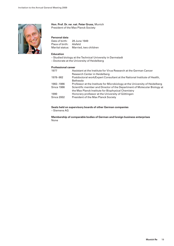

# **Hon. Prof. Dr. rer. nat. Peter Gruss,** Munich

President of the Max Planck Society

# **Personal data**

| Date of birth:  | 28 June 1949                          |
|-----------------|---------------------------------------|
| Place of birth: | Alsfeld                               |
|                 | Marital status: Married, two children |

# **Education**

- Studied biology at the Technical University in Darmstadt
- Doctorate at the University of Heidelberg

# **Professional career**

| 1977              | Assistant at the Institute for Virus Research at the German Cancer          |
|-------------------|-----------------------------------------------------------------------------|
|                   | Research Center in Heidelberg                                               |
| 1978-982          | Postdoctoral work/Expert Consultant at the National Institute of Health,    |
|                   | <b>Bethesda</b>                                                             |
| 1982-1986         | Professor at the Institute for Microbiology at the University of Heidelberg |
| <b>Since 1986</b> | Scientific member and Director of the Department of Molecular Biology at    |
|                   | the Max Planck Institute for Biophysical Chemistry                          |
| 1990              | Honorary professor at the University of Göttingen                           |
| <b>Since 2002</b> | President of the Max Planck Society                                         |

# **Seats held on supervisory boards of other German companies**

– Siemens AG

**Membership of comparable bodies of German and foreign business enterprises** None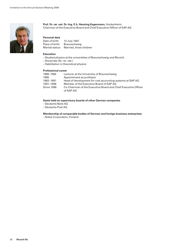

# **Prof. Dr. rer. nat. Dr.-Ing. E.h. Henning Kagermann,** Hockenheim Chairman of the Executive Board and Chief Executive Officer of SAP AG

# **Personal data**

| Date of birth:  | 12 July 1947            |
|-----------------|-------------------------|
| Place of birth: | <b>Braunschweig</b>     |
| Marital status: | Married, three children |

### **Education**

- Studied physics at the universities of Braunschweig and Munich
- Doctorate (Dr. rer. nat.)
- Habilitation in theoretical physics

# **Professional career**

| 1980-1982         | Lecturer at the University of Braunschweig                     |
|-------------------|----------------------------------------------------------------|
| 1985              | Appointment as professor                                       |
| 1982-1991         | Head of development for cost accounting systems at SAP AG      |
| 1991-1998         | Member of the Executive Board of SAP AG                        |
| <b>Since 1998</b> | Co-Chairman of the Executive Board and Chief Executive Officer |
|                   | of SAP AG                                                      |

# **Seats held on supervisory boards of other German companies**

- Deutsche Bank AG
- Deutsche Post AG

**Membership of comparable bodies of German and foreign business enterprises**

– Nokia Corporation, Finland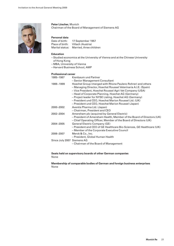

# **Peter Löscher,** Munich Chairman of the Board of Management of Siemens AG

# **Personal data**

| Date of birth:  | 17 September 1957       |
|-----------------|-------------------------|
| Place of birth: | Villach (Austria)       |
| Marital status: | Married, three children |

### **Education**

- Studied economics at the University of Vienna and at the Chinese University of Hong Kong
- MBA, University of Vienna
- Harvard Business School, AMP

# **Professional career**

| 1985-1987                  | Kienbaum und Partner                                                  |
|----------------------------|-----------------------------------------------------------------------|
|                            | - Senior Management Consultant                                        |
| 1988-1999                  | Hoechst Group (merged with Rhone Paulenc Rohrer) and others           |
|                            | - Managing Director, Hoechst Roussel Veterinaria A.I.E. (Spain)       |
|                            | – Vice President, Hoechst Roussel Agri-Vet Company (USA)              |
|                            | - Head of Corporate Planning, Hoechst AG (Germany)                    |
|                            | - Project leader for NYSE Listing, Hoechst AG (Germany)               |
|                            | - President und CEO, Hoechst Marion Roussel Ltd. (UK)                 |
|                            | - President und CEO, Hoechst Marion Roussel (Japan)                   |
| 2000-2002                  | Aventis Pharma Ltd. (Japan)                                           |
|                            | – Chairman, President and CEO                                         |
| 2002-2004                  | Amersham plc (acquired by General Electric)                           |
|                            | - President of Amersham Health, Member of the Board of Directors (UK) |
|                            | - Chief Operating Officer, Member of the Board of Directors (UK)      |
| 2004-2005                  | General Electric Company (GE)                                         |
|                            | - President and CEO of GE Healthcare Bio-Sciences, GE Healthcare (UK) |
|                            | - Member of the Corporate Executive Council                           |
| 2006-2007                  | Merck & Co., Inc.                                                     |
|                            | – President, Global Human Health                                      |
| Since July 2007 Siemens AG |                                                                       |
|                            | – Chairman of the Board of Management                                 |
|                            |                                                                       |

# **Seats held on supervisory boards of other German companies** None

# **Membership of comparable bodies of German and foreign business enterprises** None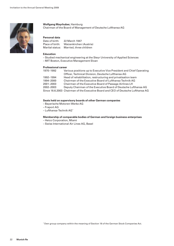

# **Wolfgang Mayrhuber,** Hamburg

Chairman of the Board of Management of Deutsche Lufthansa AG

# **Personal data**

| Date of birth:  | 22 March 1947           |
|-----------------|-------------------------|
| Place of birth: | Waizenkirchen (Austria) |
| Marital status: | Married, three children |

# **Education**

– Studied mechanical engineering at the Steyr University of Applied Sciences

– MIT Boston, Executive Management Sloan

# **Professional career**

| 1970-1992 | Various positions up to Executive Vice President and Chief Operating             |  |
|-----------|----------------------------------------------------------------------------------|--|
|           | Officer, Technical Division, Deutsche Lufthansa AG                               |  |
| 1992–1994 | Head of rehabilitation, restructuring and privatisation team                     |  |
| 1994-2000 | Chairman of the Executive Board of Lufthansa Technik AG                          |  |
| 2001-2003 | Chairman of the Executive Board of Passage Airlines LH                           |  |
| 2002-2003 | Deputy Chairman of the Executive Board of Deutsche Lufthansa AG                  |  |
|           | Since 18.6.2003 Chairman of the Executive Board and CEO of Deutsche Lufthansa AG |  |

# **Seats held on supervisory boards of other German companies**

- Bayerische Motoren-Werke AG
- Fraport AG
- Lufthansa-Technik AG\*

# **Membership of comparable bodies of German and foreign business enterprises**

- Heico Corporation, Miami
- Swiss International Air Lines AG, Basel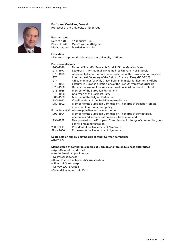

# **Prof. Karel Van Miert,** Beersel

Professor at the University of Nyenrode

# **Personal data**

| Date of birth:  | 17 January 1942        |
|-----------------|------------------------|
| Place of birth: | Oud-Turnhout (Belgium) |
| Marital status: | Married, one child     |

# **Education**

– Degree in diplomatic sciences at the University of Ghent

# **Professional career**

| 1968-1970         | National Scientific Research Fund, in Sicco Mansholt's staff           |
|-------------------|------------------------------------------------------------------------|
| 1971-1973         | Lecturer in international law at the Free University of Brussels       |
| 1973-1975         | Assistant to Henri Simonet, Vice-President of the European Commission  |
| 1976              | International Secretary of the Belgian Socialist Party (BSP/PSB)       |
| 1977              | Office manager for Willy Claes, Belgian Minister for Economic Affairs  |
| 1978-1994         | Lecturer in European institutions at the Free University of Brussels   |
| 1978-1980         | Deputy Chairman of the Association of Socialist Parties at EU level    |
| 1978-1985         | Member of the European Parliament                                      |
| 1978-1988         | Chairman of the Socialist Party                                        |
| 1985-1988         | Member of the Belgian Parliament                                       |
| 1986-1992         | Vice-President of the Socialist Internationale                         |
| 1989-1992         | Member of the European Commission, in charge of transport, credit,     |
|                   | investment and consumer policy                                         |
|                   | From July 1992 Also responsible for the environment                    |
| 1993-1994         | Member of the European Commission, in charge of competition,           |
|                   | personnel and administration policy, translation and IT                |
| 1994-1999         | Reappointed to the European Commission, in charge of competition, per- |
|                   | sonnel and administration                                              |
| 2000-2003         | President of the University of Nyenrode                                |
| <b>Since 2000</b> | Professor at the University of Nyenrode                                |

# **Seats held on supervisory boards of other German companies**

– RWE AG

# **Membership of comparable bodies of German and foreign business enterprises**

- Agfa-Gevaert NV, Mortsel
- Anglo American plc, London
- De Persgroep, Asse
- Royal Philips Electronics NV, Amsterdam
- Sibelco NV, Antwerp
- Solvay S.A., Brussels
- Vivendi Universal S.A., Paris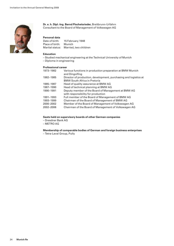

# **Dr. e. h. Dipl.-Ing. Bernd Pischetsrieder,** Breitbrunn-Urfahrn Consultant to the Board of Management of Volkswagen AG

# **Personal data**

| Date of birth:  | 15 February 1948      |
|-----------------|-----------------------|
| Place of birth: | Munich                |
| Marital status: | Married, two children |

### **Education**

– Studied mechanical engineering at the Technical University of Munich

– Diploma in engineering

# **Professional career**

| 1973-1982 | Various functions in production preparation at BMW Munich<br>and Dingolfing                             |
|-----------|---------------------------------------------------------------------------------------------------------|
| 1982-1985 | Director of production, development, purchasing and logistics at<br><b>BMW South Africa in Pretoria</b> |
| 1985-1987 | Head of quality assurance at BMW AG                                                                     |
| 1987-1990 | Head of technical planning at BMW AG                                                                    |
| 1990-1991 | Deputy member of the Board of Management at BMW AG<br>with responsibility for production                |
| 1991-1993 | Full member of the Board of Management of BMW AG                                                        |
| 1993-1999 | Chairman of the Board of Management of BMW AG                                                           |
| 2000-2002 | Member of the Board of Management of Volkswagen AG                                                      |
| 2002-2006 | Chairman of the Board of Management of Volkswagen AG                                                    |

# **Seats held on supervisory boards of other German companies**

- Dresdner Bank AG
- METRO AG

**Membership of comparable bodies of German and foreign business enterprises** – Tetra-Laval Group, Pully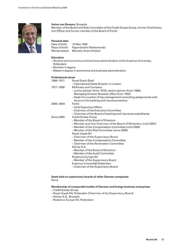

# **Anton van Rossum,** Brussels

Member of the Board and Risk Committee of the Credit Suisse Group, former Chief Executive Officer and former member of the Board of Fortis

# **Personal data**

| Date of birth:  | 12 May 1945               |
|-----------------|---------------------------|
| Place of birth: | Papendrecht (Netherlands) |
| Marital status: | Married, three children   |

# **Education**

– Studied and economics and business administration at the Erasmus University, Rotterdam

- Bachelor's degree
- Master's degree in economics and business administration

# **Professional career**

| 1969-1971         | <b>Royal Dutch Shell</b>                                           |
|-------------------|--------------------------------------------------------------------|
|                   | - International Sales Division in London                           |
| 1971-1999         | McKinsey and Company                                               |
|                   | - Junior partner (from 1979), senior partner (from 1986),          |
|                   | Managing Director Brussels office (from 1992)                      |
|                   | - Head of a number of top management consulting assignments with   |
|                   | focus on the banking and insurance sectors                         |
| 2000-2004         | <b>Fortis</b>                                                      |
|                   | - Chief Executive Officer                                          |
|                   | - Chairman of the Executive Committee                              |
|                   | - Chairman of the Board of banking and insurance subsidiaries      |
| <b>Since 2005</b> | <b>Credit Suisse Group</b>                                         |
|                   | – Member of the Board of Directors                                 |
|                   | - Member and Vice-Chairman of the Board of Winterthur (until 2007) |
|                   | - Member of the Compensation Committee (until 2008)                |
|                   | - Member of the Risk Committee (since 2008)                        |
|                   | Royal Vopak NV                                                     |
|                   | - Chairman of the Supervisory Board                                |
|                   | - Member of the Compensation Committee                             |
|                   | – Chairman of the Nomination Committee                             |
|                   | Solvay S.A.                                                        |
|                   | – Member of the Board of Directors                                 |
|                   | - Member of the Audit Committee                                    |
|                   | Rodamco Europe NV                                                  |
|                   | - Member of the Supervisory Board                                  |
|                   | Erasmus Universität Rotterdam                                      |
|                   | Chairman of the Cunemisson, Poerd                                  |

– Chairman of the Supervisory Board

### **Seats held on supervisory boards of other German companies** None

# **Membership of comparable bodies of German and foreign business enterprises**

- Credit Suisse Group
- Royal Vopak NV, Rotterdam (Chairman of the Supervisory Board)
- Solvay S.A., Brussels
- Rodamco Europe NV, Rotterdam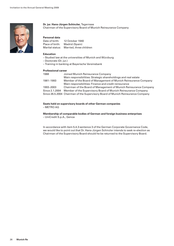

# **Dr. jur. Hans-Jürgen Schinzler,** Tegernsee Chairman of the Supervisory Board of Munich Reinsurance Company

# **Personal data**

| Date of birth:  | 12 October 1940         |
|-----------------|-------------------------|
| Place of birth: | Madrid (Spain)          |
| Marital status: | Married, three children |

### **Education**

- Studied law at the universities of Munich and Würzburg
- Doctorate (Dr. jur.)
- Training in banking at Bayerische Vereinsbank

### **Professional career**

| 1968           | Joined Munich Reinsurance Company                                               |
|----------------|---------------------------------------------------------------------------------|
|                | Main responsibilities: Strategic shareholdings and real estate                  |
| 1981–1993      | Member of the Board of Management of Munich Reinsurance Company                 |
|                | Main responsibilities: Finance and credit reinsurance                           |
| 1993-2003      | Chairman of the Board of Management of Munich Reinsurance Company               |
| Since 2.1.2004 | Member of the Supervisory Board of Munich Reinsurance Company                   |
|                | Since 26.5.2004 Chairman of the Supervisory Board of Munich Reinsurance Company |

# **Seats held on supervisory boards of other German companies** – METRO AG

### **Membership of comparable bodies of German and foreign business enterprises** – UniCredit S.p.A., Genoa

In accordance with item 5.4.3 sentence 3 of the German Corporate Governance Code, we would like to point out that Dr. Hans-Jürgen Schinzler intends to seek re-election as Chairman of the Supervisory Board should he be returned to the Supervisory Board.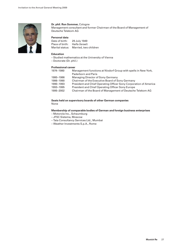

# **Dr. phil. Ron Sommer,** Cologne

Management consultant and former Chairman of the Board of Management of Deutsche Telekom AG

# **Personal data**

| Date of birth:  | 29 July 1949                          |
|-----------------|---------------------------------------|
| Place of birth: | Haifa (Israel)                        |
|                 | Marital status: Married, two children |

# **Education**

- Studied mathematics at the University of Vienna
- Doctorate (Dr. phil.)

# **Professional career**

| 1974-1980 | Management functions at Nixdorf Group with spells in New York,    |
|-----------|-------------------------------------------------------------------|
|           | <b>Paderborn and Paris</b>                                        |
| 1980-1986 | <b>Managing Director of Sony Germany</b>                          |
| 1986-1990 | Chairman of the Executive Board of Sony Germany                   |
| 1990-1993 | President and Chief Operating Officer Sony Corporation of America |
| 1993-1995 | President and Chief Operating Officer Sony Europe                 |
| 1995-2002 | Chairman of the Board of Management of Deutsche Telekom AG        |
|           |                                                                   |

### **Seats held on supervisory boards of other German companies** None

# **Membership of comparable bodies of German and foreign business enterprises**

- Motorola Inc., Schaumburg
- JFSC Sistema, Moscow
- Tata Consultancy Services Ltd., Mumbai
- Weather Investments S.p.A., Rome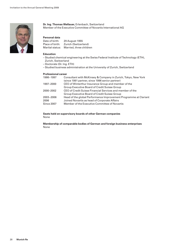

# **Dr. Ing. Thomas Wellauer,** Erlenbach, Switzerland Member of the Executive Committee of Novartis International AG

# **Personal data**

| Date of birth:  | 29 August 1955          |
|-----------------|-------------------------|
| Place of birth: | Zurich (Switzerland)    |
| Marital status: | Married, three children |

### **Education**

- Studied chemical engineering at the Swiss Federal Institute of Technology (ETH), Zurich, Switzerland
- Doctorate (Dr. Ing. ETH)
- Studied business administration at the University of Zurich, Switzerland

### **Professional career**

| 1986-1997         | Consultant with McKinsey & Company in Zurich, Tokyo, New York    |
|-------------------|------------------------------------------------------------------|
|                   | (since 1991 partner, since 1996 senior partner)                  |
| 1997-2000         | CEO of Winterthur Insurance Group and member of the              |
|                   | Group Executive Board of Credit Suisse Group                     |
| 2000-2002         | CEO of Credit Suisse Financial Services and member of the        |
|                   | Group Executive Board of Credit Suisse Group                     |
| 2003-2006         | Head of the global Performance Improvement Programme at Clariant |
| 2006              | Joined Novartis as head of Corporate Affairs                     |
| <b>Since 2007</b> | Member of the Executive Committee of Novartis                    |

**Seats held on supervisory boards of other German companies** None

**Membership of comparable bodies of German and foreign business enterprises** None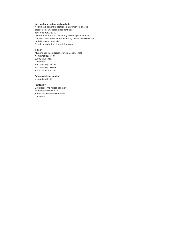### **Service for investors and analysts**

If you have general questions on Munich Re shares, please use our shareholder hotline: Tel.: (0 18 02) 22 62 10 (Note for callers from Germany: 6 cents per call from a German fixed network, with varying prices from German mobile phone networks) E-mail: shareholder@munichre.com

#### © 2009

Münchener Rückversicherungs-Gesellschaft Königinstrasse 107 80802 München Germany Tel.: +49 (89) 38 91-0 Fax: +49 (89) 39 90 56 www.munichre.com

### **Responsible for content**

Group Legal 1.2

### **Printed by**

Druckerei Fritz Kriechbaumer Wettersteinstrasse 12 82024 Taufkirchen/München Germany